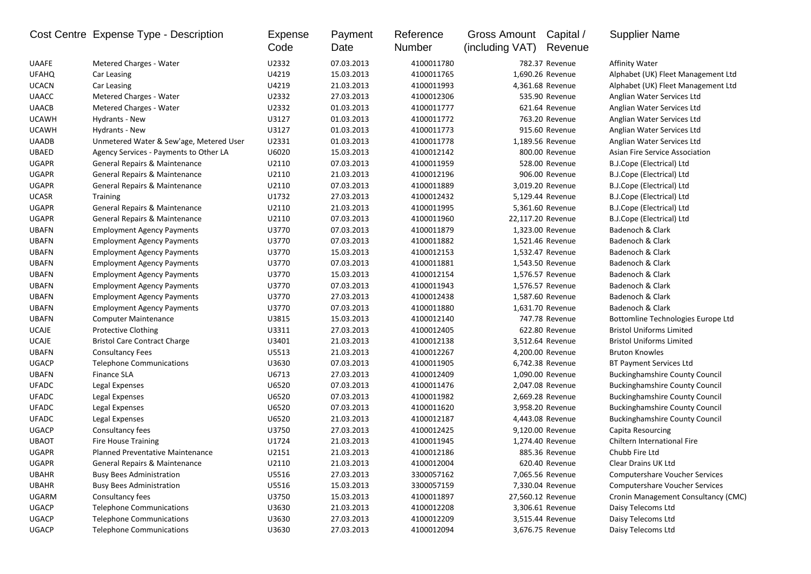|              | Cost Centre Expense Type - Description   | Expense<br>Code | Payment<br>Date | Reference<br>Number | Gross Amount<br>(including VAT) | Capital /<br>Revenue | <b>Supplier Name</b>                  |
|--------------|------------------------------------------|-----------------|-----------------|---------------------|---------------------------------|----------------------|---------------------------------------|
| <b>UAAFE</b> | Metered Charges - Water                  | U2332           | 07.03.2013      | 4100011780          |                                 | 782.37 Revenue       | <b>Affinity Water</b>                 |
| <b>UFAHQ</b> | Car Leasing                              | U4219           | 15.03.2013      | 4100011765          |                                 | 1,690.26 Revenue     | Alphabet (UK) Fleet Management Ltd    |
| <b>UCACN</b> | Car Leasing                              | U4219           | 21.03.2013      | 4100011993          |                                 | 4,361.68 Revenue     | Alphabet (UK) Fleet Management Ltd    |
| <b>UAACC</b> | Metered Charges - Water                  | U2332           | 27.03.2013      | 4100012306          |                                 | 535.90 Revenue       | Anglian Water Services Ltd            |
| <b>UAACB</b> | Metered Charges - Water                  | U2332           | 01.03.2013      | 4100011777          |                                 | 621.64 Revenue       | Anglian Water Services Ltd            |
| <b>UCAWH</b> | Hydrants - New                           | U3127           | 01.03.2013      | 4100011772          |                                 | 763.20 Revenue       | Anglian Water Services Ltd            |
| <b>UCAWH</b> | Hydrants - New                           | U3127           | 01.03.2013      | 4100011773          |                                 | 915.60 Revenue       | Anglian Water Services Ltd            |
| <b>UAADB</b> | Unmetered Water & Sew'age, Metered User  | U2331           | 01.03.2013      | 4100011778          |                                 | 1,189.56 Revenue     | Anglian Water Services Ltd            |
| <b>UBAED</b> | Agency Services - Payments to Other LA   | U6020           | 15.03.2013      | 4100012142          |                                 | 800.00 Revenue       | <b>Asian Fire Service Association</b> |
| <b>UGAPR</b> | <b>General Repairs &amp; Maintenance</b> | U2110           | 07.03.2013      | 4100011959          |                                 | 528.00 Revenue       | B.J.Cope (Electrical) Ltd             |
| <b>UGAPR</b> | General Repairs & Maintenance            | U2110           | 21.03.2013      | 4100012196          |                                 | 906.00 Revenue       | B.J.Cope (Electrical) Ltd             |
| <b>UGAPR</b> | General Repairs & Maintenance            | U2110           | 07.03.2013      | 4100011889          |                                 | 3,019.20 Revenue     | B.J.Cope (Electrical) Ltd             |
| <b>UCASR</b> | <b>Training</b>                          | U1732           | 27.03.2013      | 4100012432          |                                 | 5,129.44 Revenue     | B.J.Cope (Electrical) Ltd             |
| <b>UGAPR</b> | General Repairs & Maintenance            | U2110           | 21.03.2013      | 4100011995          |                                 | 5,361.60 Revenue     | B.J.Cope (Electrical) Ltd             |
| <b>UGAPR</b> | General Repairs & Maintenance            | U2110           | 07.03.2013      | 4100011960          | 22,117.20 Revenue               |                      | B.J.Cope (Electrical) Ltd             |
| <b>UBAFN</b> | <b>Employment Agency Payments</b>        | U3770           | 07.03.2013      | 4100011879          |                                 | 1,323.00 Revenue     | Badenoch & Clark                      |
| <b>UBAFN</b> | <b>Employment Agency Payments</b>        | U3770           | 07.03.2013      | 4100011882          |                                 | 1,521.46 Revenue     | Badenoch & Clark                      |
| <b>UBAFN</b> | <b>Employment Agency Payments</b>        | U3770           | 15.03.2013      | 4100012153          |                                 | 1,532.47 Revenue     | Badenoch & Clark                      |
| <b>UBAFN</b> | <b>Employment Agency Payments</b>        | U3770           | 07.03.2013      | 4100011881          |                                 | 1,543.50 Revenue     | Badenoch & Clark                      |
| <b>UBAFN</b> | <b>Employment Agency Payments</b>        | U3770           | 15.03.2013      | 4100012154          |                                 | 1,576.57 Revenue     | Badenoch & Clark                      |
| <b>UBAFN</b> | <b>Employment Agency Payments</b>        | U3770           | 07.03.2013      | 4100011943          |                                 | 1,576.57 Revenue     | Badenoch & Clark                      |
| <b>UBAFN</b> | <b>Employment Agency Payments</b>        | U3770           | 27.03.2013      | 4100012438          |                                 | 1,587.60 Revenue     | Badenoch & Clark                      |
| <b>UBAFN</b> | <b>Employment Agency Payments</b>        | U3770           | 07.03.2013      | 4100011880          |                                 | 1,631.70 Revenue     | Badenoch & Clark                      |
| <b>UBAFN</b> | <b>Computer Maintenance</b>              | U3815           | 15.03.2013      | 4100012140          |                                 | 747.78 Revenue       | Bottomline Technologies Europe Ltd    |
| <b>UCAJE</b> | Protective Clothing                      | U3311           | 27.03.2013      | 4100012405          |                                 | 622.80 Revenue       | <b>Bristol Uniforms Limited</b>       |
| <b>UCAJE</b> | <b>Bristol Care Contract Charge</b>      | U3401           | 21.03.2013      | 4100012138          |                                 | 3,512.64 Revenue     | <b>Bristol Uniforms Limited</b>       |
| <b>UBAFN</b> | <b>Consultancy Fees</b>                  | U5513           | 21.03.2013      | 4100012267          |                                 | 4,200.00 Revenue     | <b>Bruton Knowles</b>                 |
| <b>UGACP</b> | <b>Telephone Communications</b>          | U3630           | 07.03.2013      | 4100011905          |                                 | 6,742.38 Revenue     | <b>BT Payment Services Ltd</b>        |
| <b>UBAFN</b> | <b>Finance SLA</b>                       | U6713           | 27.03.2013      | 4100012409          |                                 | 1,090.00 Revenue     | <b>Buckinghamshire County Council</b> |
| <b>UFADC</b> | Legal Expenses                           | U6520           | 07.03.2013      | 4100011476          |                                 | 2,047.08 Revenue     | <b>Buckinghamshire County Council</b> |
| <b>UFADC</b> | Legal Expenses                           | U6520           | 07.03.2013      | 4100011982          |                                 | 2,669.28 Revenue     | <b>Buckinghamshire County Council</b> |
| <b>UFADC</b> | Legal Expenses                           | U6520           | 07.03.2013      | 4100011620          |                                 | 3,958.20 Revenue     | <b>Buckinghamshire County Council</b> |
| <b>UFADC</b> | Legal Expenses                           | U6520           | 21.03.2013      | 4100012187          |                                 | 4,443.08 Revenue     | <b>Buckinghamshire County Council</b> |
| <b>UGACP</b> | Consultancy fees                         | U3750           | 27.03.2013      | 4100012425          |                                 | 9,120.00 Revenue     | Capita Resourcing                     |
| <b>UBAOT</b> | <b>Fire House Training</b>               | U1724           | 21.03.2013      | 4100011945          |                                 | 1,274.40 Revenue     | <b>Chiltern International Fire</b>    |
| <b>UGAPR</b> | <b>Planned Preventative Maintenance</b>  | U2151           | 21.03.2013      | 4100012186          |                                 | 885.36 Revenue       | Chubb Fire Ltd                        |
| UGAPR        | General Repairs & Maintenance            | U2110           | 21.03.2013      | 4100012004          |                                 | 620.40 Revenue       | Clear Drains UK Ltd                   |
| <b>UBAHR</b> | <b>Busy Bees Administration</b>          | U5516           | 27.03.2013      | 3300057162          |                                 | 7,065.56 Revenue     | <b>Computershare Voucher Services</b> |
| <b>UBAHR</b> | <b>Busy Bees Administration</b>          | U5516           | 15.03.2013      | 3300057159          |                                 | 7,330.04 Revenue     | Computershare Voucher Services        |
| <b>UGARM</b> | Consultancy fees                         | U3750           | 15.03.2013      | 4100011897          | 27,560.12 Revenue               |                      | Cronin Management Consultancy (CMC)   |
| <b>UGACP</b> | <b>Telephone Communications</b>          | U3630           | 21.03.2013      | 4100012208          |                                 | 3,306.61 Revenue     | Daisy Telecoms Ltd                    |
| <b>UGACP</b> | <b>Telephone Communications</b>          | U3630           | 27.03.2013      | 4100012209          |                                 | 3,515.44 Revenue     | Daisy Telecoms Ltd                    |
| <b>UGACP</b> | <b>Telephone Communications</b>          | U3630           | 27.03.2013      | 4100012094          |                                 | 3,676.75 Revenue     | Daisy Telecoms Ltd                    |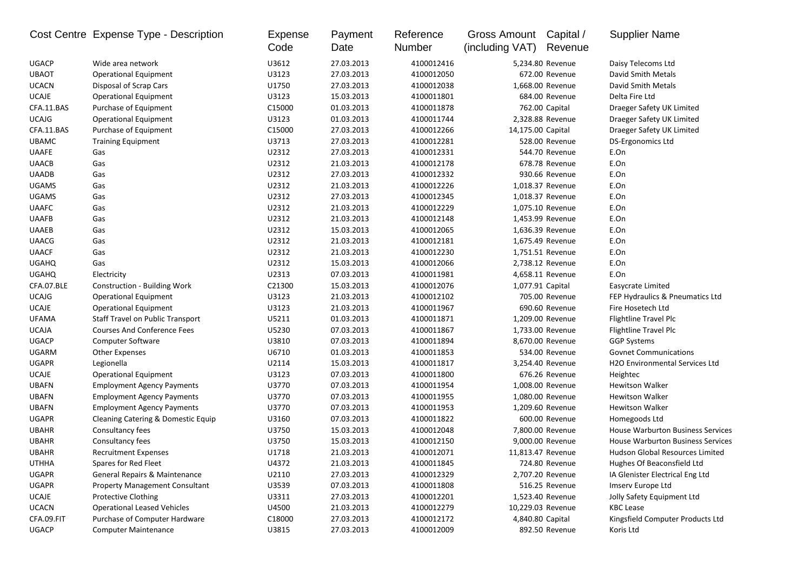|              | Cost Centre Expense Type - Description  | Expense<br>Code    | Payment<br>Date | Reference<br>Number | Gross Amount<br>(including VAT) | Capital /<br>Revenue | <b>Supplier Name</b>                     |
|--------------|-----------------------------------------|--------------------|-----------------|---------------------|---------------------------------|----------------------|------------------------------------------|
| <b>UGACP</b> | Wide area network                       | U3612              | 27.03.2013      | 4100012416          |                                 | 5,234.80 Revenue     | Daisy Telecoms Ltd                       |
| <b>UBAOT</b> | <b>Operational Equipment</b>            | U3123              | 27.03.2013      | 4100012050          |                                 | 672.00 Revenue       | David Smith Metals                       |
| <b>UCACN</b> | Disposal of Scrap Cars                  | U1750              | 27.03.2013      | 4100012038          |                                 | 1,668.00 Revenue     | David Smith Metals                       |
| <b>UCAJE</b> | <b>Operational Equipment</b>            | U3123              | 15.03.2013      | 4100011801          |                                 | 684.00 Revenue       | Delta Fire Ltd                           |
| CFA.11.BAS   | Purchase of Equipment                   | C <sub>15000</sub> | 01.03.2013      | 4100011878          |                                 | 762.00 Capital       | Draeger Safety UK Limited                |
| <b>UCAJG</b> | <b>Operational Equipment</b>            | U3123              | 01.03.2013      | 4100011744          |                                 | 2,328.88 Revenue     | Draeger Safety UK Limited                |
| CFA.11.BAS   | Purchase of Equipment                   | C15000             | 27.03.2013      | 4100012266          | 14,175.00 Capital               |                      | Draeger Safety UK Limited                |
| <b>UBAMC</b> | <b>Training Equipment</b>               | U3713              | 27.03.2013      | 4100012281          |                                 | 528.00 Revenue       | DS-Ergonomics Ltd                        |
| <b>UAAFE</b> | Gas                                     | U2312              | 27.03.2013      | 4100012331          |                                 | 544.70 Revenue       | E.On                                     |
| <b>UAACB</b> | Gas                                     | U2312              | 21.03.2013      | 4100012178          |                                 | 678.78 Revenue       | E.On                                     |
| <b>UAADB</b> | Gas                                     | U2312              | 27.03.2013      | 4100012332          |                                 | 930.66 Revenue       | E.On                                     |
| <b>UGAMS</b> | Gas                                     | U2312              | 21.03.2013      | 4100012226          |                                 | 1,018.37 Revenue     | E.On                                     |
| <b>UGAMS</b> | Gas                                     | U2312              | 27.03.2013      | 4100012345          |                                 | 1,018.37 Revenue     | E.On                                     |
| <b>UAAFC</b> | Gas                                     | U2312              | 21.03.2013      | 4100012229          |                                 | 1,075.10 Revenue     | E.On                                     |
| UAAFB        | Gas                                     | U2312              | 21.03.2013      | 4100012148          |                                 | 1,453.99 Revenue     | E.On                                     |
| <b>UAAEB</b> | Gas                                     | U2312              | 15.03.2013      | 4100012065          |                                 | 1,636.39 Revenue     | E.On                                     |
| <b>UAACG</b> | Gas                                     | U2312              | 21.03.2013      | 4100012181          |                                 | 1,675.49 Revenue     | E.On                                     |
| <b>UAACF</b> | Gas                                     | U2312              | 21.03.2013      | 4100012230          |                                 | 1,751.51 Revenue     | E.On                                     |
| <b>UGAHQ</b> | Gas                                     | U2312              | 15.03.2013      | 4100012066          |                                 | 2,738.12 Revenue     | E.On                                     |
| <b>UGAHQ</b> | Electricity                             | U2313              | 07.03.2013      | 4100011981          |                                 | 4,658.11 Revenue     | E.On                                     |
| CFA.07.BLE   | <b>Construction - Building Work</b>     | C21300             | 15.03.2013      | 4100012076          | 1,077.91 Capital                |                      | Easycrate Limited                        |
| <b>UCAJG</b> | <b>Operational Equipment</b>            | U3123              | 21.03.2013      | 4100012102          |                                 | 705.00 Revenue       | FEP Hydraulics & Pneumatics Ltd          |
| <b>UCAJE</b> | <b>Operational Equipment</b>            | U3123              | 21.03.2013      | 4100011967          |                                 | 690.60 Revenue       | Fire Hosetech Ltd                        |
| UFAMA        | <b>Staff Travel on Public Transport</b> | U5211              | 01.03.2013      | 4100011871          |                                 | 1,209.00 Revenue     | <b>Flightline Travel Plc</b>             |
| UCAJA        | <b>Courses And Conference Fees</b>      | U5230              | 07.03.2013      | 4100011867          |                                 | 1,733.00 Revenue     | Flightline Travel Plc                    |
| <b>UGACP</b> | Computer Software                       | U3810              | 07.03.2013      | 4100011894          |                                 | 8,670.00 Revenue     | <b>GGP Systems</b>                       |
| <b>UGARM</b> | <b>Other Expenses</b>                   | U6710              | 01.03.2013      | 4100011853          |                                 | 534.00 Revenue       | <b>Govnet Communications</b>             |
| <b>UGAPR</b> | Legionella                              | U2114              | 15.03.2013      | 4100011817          |                                 | 3,254.40 Revenue     | <b>H2O Environmental Services Ltd</b>    |
| <b>UCAJE</b> | <b>Operational Equipment</b>            | U3123              | 07.03.2013      | 4100011800          |                                 | 676.26 Revenue       | Heightec                                 |
| <b>UBAFN</b> | <b>Employment Agency Payments</b>       | U3770              | 07.03.2013      | 4100011954          |                                 | 1,008.00 Revenue     | <b>Hewitson Walker</b>                   |
| UBAFN        | <b>Employment Agency Payments</b>       | U3770              | 07.03.2013      | 4100011955          |                                 | 1,080.00 Revenue     | <b>Hewitson Walker</b>                   |
| <b>UBAFN</b> | <b>Employment Agency Payments</b>       | U3770              | 07.03.2013      | 4100011953          |                                 | 1,209.60 Revenue     | <b>Hewitson Walker</b>                   |
| <b>UGAPR</b> | Cleaning Catering & Domestic Equip      | U3160              | 07.03.2013      | 4100011822          |                                 | 600.00 Revenue       | Homegoods Ltd                            |
| UBAHR        | Consultancy fees                        | U3750              | 15.03.2013      | 4100012048          |                                 | 7,800.00 Revenue     | House Warburton Business Services        |
| <b>UBAHR</b> | Consultancy fees                        | U3750              | 15.03.2013      | 4100012150          |                                 | 9,000.00 Revenue     | <b>House Warburton Business Services</b> |
| UBAHR        | <b>Recruitment Expenses</b>             | U1718              | 21.03.2013      | 4100012071          | 11,813.47 Revenue               |                      | Hudson Global Resources Limited          |
| UTHHA        | Spares for Red Fleet                    | U4372              | 21.03.2013      | 4100011845          |                                 | 724.80 Revenue       | Hughes Of Beaconsfield Ltd               |
| <b>UGAPR</b> | General Repairs & Maintenance           |                    | 27.03.2013      | 4100012329          |                                 | 2,707.20 Revenue     | IA Glenister Electrical Eng Ltd          |
|              |                                         | U2110              |                 | 4100011808          |                                 | 516.25 Revenue       |                                          |
| UGAPR        | <b>Property Management Consultant</b>   | U3539              | 07.03.2013      |                     |                                 |                      | Imserv Europe Ltd                        |
| UCAJE        | <b>Protective Clothing</b>              | U3311              | 27.03.2013      | 4100012201          |                                 | 1,523.40 Revenue     | Jolly Safety Equipment Ltd               |
| <b>UCACN</b> | <b>Operational Leased Vehicles</b>      | U4500              | 21.03.2013      | 4100012279          |                                 | 10,229.03 Revenue    | <b>KBC Lease</b>                         |
| CFA.09.FIT   | Purchase of Computer Hardware           | C18000             | 27.03.2013      | 4100012172          | 4,840.80 Capital                |                      | Kingsfield Computer Products Ltd         |
| <b>UGACP</b> | <b>Computer Maintenance</b>             | U3815              | 27.03.2013      | 4100012009          |                                 | 892.50 Revenue       | Koris Ltd                                |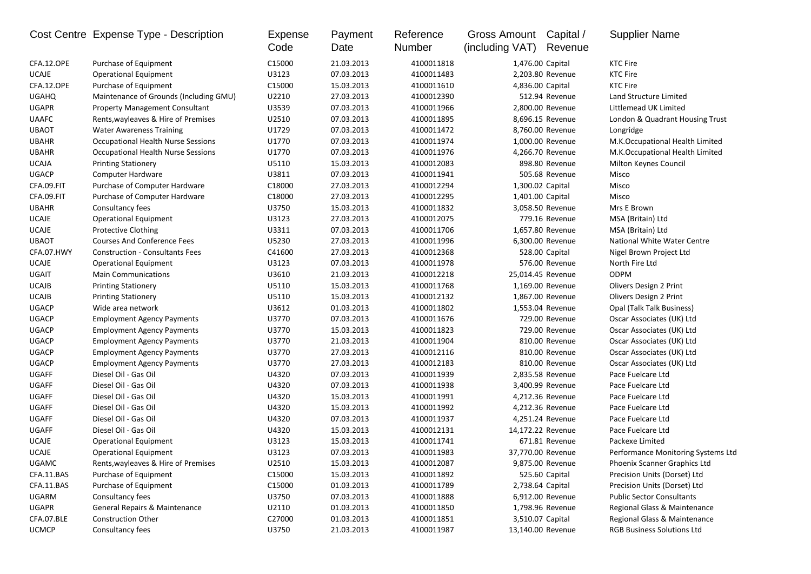|              | Cost Centre Expense Type - Description | Expense<br>Code | Payment<br>Date | Reference<br>Number | Gross Amount<br>(including VAT) | Capital /<br>Revenue | <b>Supplier Name</b>               |
|--------------|----------------------------------------|-----------------|-----------------|---------------------|---------------------------------|----------------------|------------------------------------|
| CFA.12.OPE   | Purchase of Equipment                  | C15000          | 21.03.2013      | 4100011818          | 1,476.00 Capital                |                      | <b>KTC Fire</b>                    |
| <b>UCAJE</b> | <b>Operational Equipment</b>           | U3123           | 07.03.2013      | 4100011483          |                                 | 2,203.80 Revenue     | <b>KTC Fire</b>                    |
| CFA.12.OPE   | Purchase of Equipment                  | C15000          | 15.03.2013      | 4100011610          | 4,836.00 Capital                |                      | <b>KTC Fire</b>                    |
| <b>UGAHQ</b> | Maintenance of Grounds (Including GMU) | U2210           | 27.03.2013      | 4100012390          |                                 | 512.94 Revenue       | Land Structure Limited             |
| <b>UGAPR</b> | <b>Property Management Consultant</b>  | U3539           | 07.03.2013      | 4100011966          |                                 | 2,800.00 Revenue     | Littlemead UK Limited              |
| <b>UAAFC</b> | Rents, wayleaves & Hire of Premises    | U2510           | 07.03.2013      | 4100011895          |                                 | 8,696.15 Revenue     | London & Quadrant Housing Trust    |
| <b>UBAOT</b> | <b>Water Awareness Training</b>        | U1729           | 07.03.2013      | 4100011472          |                                 | 8,760.00 Revenue     | Longridge                          |
| <b>UBAHR</b> | Occupational Health Nurse Sessions     | U1770           | 07.03.2013      | 4100011974          |                                 | 1,000.00 Revenue     | M.K.Occupational Health Limited    |
| <b>UBAHR</b> | Occupational Health Nurse Sessions     | U1770           | 07.03.2013      | 4100011976          |                                 | 4,266.70 Revenue     | M.K.Occupational Health Limited    |
| <b>UCAJA</b> | <b>Printing Stationery</b>             | U5110           | 15.03.2013      | 4100012083          |                                 | 898.80 Revenue       | Milton Keynes Council              |
| <b>UGACP</b> | <b>Computer Hardware</b>               | U3811           | 07.03.2013      | 4100011941          |                                 | 505.68 Revenue       | Misco                              |
| CFA.09.FIT   | Purchase of Computer Hardware          | C18000          | 27.03.2013      | 4100012294          | 1,300.02 Capital                |                      | Misco                              |
| CFA.09.FIT   | Purchase of Computer Hardware          | C18000          | 27.03.2013      | 4100012295          | 1,401.00 Capital                |                      | Misco                              |
| <b>UBAHR</b> | Consultancy fees                       | U3750           | 15.03.2013      | 4100011832          |                                 | 3,058.50 Revenue     | Mrs E Brown                        |
| <b>UCAJE</b> | <b>Operational Equipment</b>           | U3123           | 27.03.2013      | 4100012075          |                                 | 779.16 Revenue       | MSA (Britain) Ltd                  |
| <b>UCAJE</b> | <b>Protective Clothing</b>             | U3311           | 07.03.2013      | 4100011706          |                                 | 1,657.80 Revenue     | MSA (Britain) Ltd                  |
| <b>UBAOT</b> | <b>Courses And Conference Fees</b>     | U5230           | 27.03.2013      | 4100011996          |                                 | 6,300.00 Revenue     | National White Water Centre        |
| CFA.07.HWY   | <b>Construction - Consultants Fees</b> | C41600          | 27.03.2013      | 4100012368          |                                 | 528.00 Capital       | Nigel Brown Project Ltd            |
| <b>UCAJE</b> | Operational Equipment                  | U3123           | 07.03.2013      | 4100011978          |                                 | 576.00 Revenue       | North Fire Ltd                     |
| UGAIT        | <b>Main Communications</b>             | U3610           | 21.03.2013      | 4100012218          | 25,014.45 Revenue               |                      | <b>ODPM</b>                        |
| <b>UCAJB</b> | <b>Printing Stationery</b>             | U5110           | 15.03.2013      | 4100011768          |                                 | 1,169.00 Revenue     | Olivers Design 2 Print             |
| <b>UCAJB</b> | <b>Printing Stationery</b>             | U5110           | 15.03.2013      | 4100012132          |                                 | 1,867.00 Revenue     | Olivers Design 2 Print             |
| <b>UGACP</b> | Wide area network                      | U3612           | 01.03.2013      | 4100011802          |                                 | 1,553.04 Revenue     | Opal (Talk Talk Business)          |
| <b>UGACP</b> | <b>Employment Agency Payments</b>      | U3770           | 07.03.2013      | 4100011676          |                                 | 729.00 Revenue       | Oscar Associates (UK) Ltd          |
| <b>UGACP</b> | <b>Employment Agency Payments</b>      | U3770           | 15.03.2013      | 4100011823          |                                 | 729.00 Revenue       | Oscar Associates (UK) Ltd          |
| <b>UGACP</b> | <b>Employment Agency Payments</b>      | U3770           | 21.03.2013      | 4100011904          |                                 | 810.00 Revenue       | Oscar Associates (UK) Ltd          |
| <b>UGACP</b> | <b>Employment Agency Payments</b>      | U3770           | 27.03.2013      | 4100012116          |                                 | 810.00 Revenue       | Oscar Associates (UK) Ltd          |
| <b>UGACP</b> | <b>Employment Agency Payments</b>      | U3770           | 27.03.2013      | 4100012183          |                                 | 810.00 Revenue       | Oscar Associates (UK) Ltd          |
| <b>UGAFF</b> | Diesel Oil - Gas Oil                   | U4320           | 07.03.2013      | 4100011939          |                                 | 2,835.58 Revenue     | Pace Fuelcare Ltd                  |
| <b>UGAFF</b> | Diesel Oil - Gas Oil                   | U4320           | 07.03.2013      | 4100011938          |                                 | 3,400.99 Revenue     | Pace Fuelcare Ltd                  |
| UGAFF        | Diesel Oil - Gas Oil                   | U4320           | 15.03.2013      | 4100011991          |                                 | 4,212.36 Revenue     | Pace Fuelcare Ltd                  |
| UGAFF        | Diesel Oil - Gas Oil                   | U4320           | 15.03.2013      | 4100011992          |                                 | 4,212.36 Revenue     | Pace Fuelcare Ltd                  |
| <b>UGAFF</b> | Diesel Oil - Gas Oil                   | U4320           | 07.03.2013      | 4100011937          |                                 | 4,251.24 Revenue     | Pace Fuelcare Ltd                  |
| <b>UGAFF</b> | Diesel Oil - Gas Oil                   | U4320           | 15.03.2013      | 4100012131          | 14,172.22 Revenue               |                      | Pace Fuelcare Ltd                  |
| <b>UCAJE</b> | <b>Operational Equipment</b>           | U3123           | 15.03.2013      | 4100011741          |                                 | 671.81 Revenue       | Packexe Limited                    |
| <b>UCAJE</b> | <b>Operational Equipment</b>           | U3123           | 07.03.2013      | 4100011983          | 37,770.00 Revenue               |                      | Performance Monitoring Systems Ltd |
| UGAMC        | Rents, wayleaves & Hire of Premises    | U2510           | 15.03.2013      | 4100012087          |                                 | 9,875.00 Revenue     | Phoenix Scanner Graphics Ltd       |
| CFA.11.BAS   | Purchase of Equipment                  | C15000          | 15.03.2013      | 4100011892          |                                 | 525.60 Capital       | Precision Units (Dorset) Ltd       |
| CFA.11.BAS   | Purchase of Equipment                  | C15000          | 01.03.2013      | 4100011789          | 2,738.64 Capital                |                      | Precision Units (Dorset) Ltd       |
| UGARM        | Consultancy fees                       | U3750           | 07.03.2013      | 4100011888          |                                 | 6,912.00 Revenue     | <b>Public Sector Consultants</b>   |
| <b>UGAPR</b> | General Repairs & Maintenance          | U2110           | 01.03.2013      | 4100011850          |                                 | 1,798.96 Revenue     | Regional Glass & Maintenance       |
| CFA.07.BLE   | <b>Construction Other</b>              | C27000          | 01.03.2013      | 4100011851          | 3,510.07 Capital                |                      | Regional Glass & Maintenance       |
| <b>UCMCP</b> | Consultancy fees                       | U3750           | 21.03.2013      | 4100011987          | 13,140.00 Revenue               |                      | <b>RGB Business Solutions Ltd</b>  |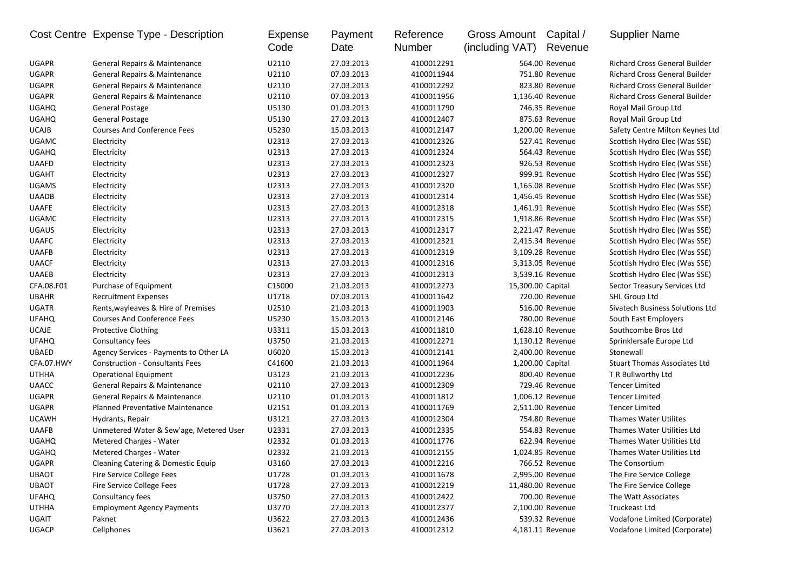|              | Cost Centre Expense Type - Description   | Expense<br>Code | Payment<br>Date | Reference<br>Number | Gross Amount Capital /<br>(including VAT) | Revenue           | <b>Supplier Name</b>                 |
|--------------|------------------------------------------|-----------------|-----------------|---------------------|-------------------------------------------|-------------------|--------------------------------------|
| <b>UGAPR</b> | General Repairs & Maintenance            | U2110           | 27.03.2013      | 4100012291          |                                           | 564.00 Revenue    | <b>Richard Cross General Builder</b> |
| <b>UGAPR</b> | General Repairs & Maintenance            | U2110           | 07.03.2013      | 4100011944          |                                           | 751.80 Revenue    | <b>Richard Cross General Builder</b> |
| <b>UGAPR</b> | General Repairs & Maintenance            | U2110           | 27.03.2013      | 4100012292          |                                           | 823.80 Revenue    | <b>Richard Cross General Builder</b> |
| <b>UGAPR</b> | General Repairs & Maintenance            | U2110           | 07.03.2013      | 4100011956          |                                           | 1,136.40 Revenue  | <b>Richard Cross General Builder</b> |
| <b>UGAHQ</b> | General Postage                          | U5130           | 01.03.2013      | 4100011790          |                                           | 746.35 Revenue    | Royal Mail Group Ltd                 |
| <b>UGAHQ</b> | General Postage                          | U5130           | 27.03.2013      | 4100012407          |                                           | 875.63 Revenue    | Royal Mail Group Ltd                 |
| <b>UCAJB</b> | <b>Courses And Conference Fees</b>       | U5230           | 15.03.2013      | 4100012147          |                                           | 1,200.00 Revenue  | Safety Centre Milton Keynes Ltd      |
| <b>UGAMC</b> | Electricity                              | U2313           | 27.03.2013      | 4100012326          |                                           | 527.41 Revenue    | Scottish Hydro Elec (Was SSE)        |
| <b>UGAHQ</b> | Electricity                              | U2313           | 27.03.2013      | 4100012324          |                                           | 564.43 Revenue    | Scottish Hydro Elec (Was SSE)        |
| <b>UAAFD</b> | Electricity                              | U2313           | 27.03.2013      | 4100012323          |                                           | 926.53 Revenue    | Scottish Hydro Elec (Was SSE)        |
| <b>UGAHT</b> | Electricity                              | U2313           | 27.03.2013      | 4100012327          |                                           | 999.91 Revenue    | Scottish Hydro Elec (Was SSE)        |
| <b>UGAMS</b> | Electricity                              | U2313           | 27.03.2013      | 4100012320          |                                           | 1,165.08 Revenue  | Scottish Hydro Elec (Was SSE)        |
| <b>UAADB</b> | Electricity                              | U2313           | 27.03.2013      | 4100012314          |                                           | 1,456.45 Revenue  | Scottish Hydro Elec (Was SSE)        |
| <b>UAAFE</b> | Electricity                              | U2313           | 27.03.2013      | 4100012318          |                                           | 1,461.91 Revenue  | Scottish Hydro Elec (Was SSE)        |
| <b>UGAMC</b> | Electricity                              | U2313           | 27.03.2013      | 4100012315          |                                           | 1,918.86 Revenue  | Scottish Hydro Elec (Was SSE)        |
| <b>UGAUS</b> | Electricity                              | U2313           | 27.03.2013      | 4100012317          |                                           | 2,221.47 Revenue  | Scottish Hydro Elec (Was SSE)        |
| <b>UAAFC</b> | Electricity                              | U2313           | 27.03.2013      | 4100012321          |                                           | 2,415.34 Revenue  | Scottish Hydro Elec (Was SSE)        |
| <b>UAAFB</b> | Electricity                              | U2313           | 27.03.2013      | 4100012319          |                                           | 3,109.28 Revenue  | Scottish Hydro Elec (Was SSE)        |
| <b>UAACF</b> | Electricity                              | U2313           | 27.03.2013      | 4100012316          |                                           | 3,313.05 Revenue  | Scottish Hydro Elec (Was SSE)        |
| <b>UAAEB</b> | Electricity                              | U2313           | 27.03.2013      | 4100012313          |                                           | 3,539.16 Revenue  | Scottish Hydro Elec (Was SSE)        |
| CFA.08.F01   | Purchase of Equipment                    | C15000          | 21.03.2013      | 4100012273          | 15,300.00 Capital                         |                   | Sector Treasury Services Ltd         |
| <b>UBAHR</b> | <b>Recruitment Expenses</b>              | U1718           | 07.03.2013      | 4100011642          |                                           | 720.00 Revenue    | SHL Group Ltd                        |
| <b>UGATR</b> | Rents, wayleaves & Hire of Premises      | U2510           | 21.03.2013      | 4100011903          |                                           | 516.00 Revenue    | Sivatech Business Solutions Ltd      |
| <b>UFAHQ</b> | <b>Courses And Conference Fees</b>       | U5230           | 15.03.2013      | 4100012146          |                                           | 780.00 Revenue    | South East Employers                 |
| UCAJE        | Protective Clothing                      | U3311           | 15.03.2013      | 4100011810          |                                           | 1,628.10 Revenue  | Southcombe Bros Ltd                  |
| <b>UFAHQ</b> | Consultancy fees                         | U3750           | 21.03.2013      | 4100012271          |                                           | 1,130.12 Revenue  | Sprinklersafe Europe Ltd             |
| <b>UBAED</b> | Agency Services - Payments to Other LA   | U6020           | 15.03.2013      | 4100012141          |                                           | 2,400.00 Revenue  | Stonewall                            |
| CFA.07.HWY   | <b>Construction - Consultants Fees</b>   | C41600          | 21.03.2013      | 4100011964          |                                           | 1,200.00 Capital  | <b>Stuart Thomas Associates Ltd</b>  |
| <b>UTHHA</b> | <b>Operational Equipment</b>             | U3123           | 21.03.2013      | 4100012236          |                                           | 800.40 Revenue    | T R Bullworthy Ltd                   |
| <b>UAACC</b> | General Repairs & Maintenance            | U2110           | 27.03.2013      | 4100012309          |                                           | 729.46 Revenue    | <b>Tencer Limited</b>                |
| <b>UGAPR</b> | <b>General Repairs &amp; Maintenance</b> | U2110           | 01.03.2013      | 4100011812          |                                           | 1,006.12 Revenue  | <b>Tencer Limited</b>                |
| <b>UGAPR</b> | <b>Planned Preventative Maintenance</b>  | U2151           | 01.03.2013      | 4100011769          |                                           | 2,511.00 Revenue  | <b>Tencer Limited</b>                |
| <b>UCAWH</b> | Hydrants, Repair                         | U3121           | 27.03.2013      | 4100012304          |                                           | 754.80 Revenue    | Thames Water Utilites                |
| <b>UAAFB</b> | Unmetered Water & Sew'age, Metered User  | U2331           | 27.03.2013      | 4100012335          |                                           | 554.83 Revenue    | Thames Water Utilities Ltd           |
| <b>UGAHQ</b> | Metered Charges - Water                  | U2332           | 01.03.2013      | 4100011776          |                                           | 622.94 Revenue    | Thames Water Utilities Ltd           |
| <b>UGAHQ</b> | Metered Charges - Water                  | U2332           | 21.03.2013      | 4100012155          |                                           | 1.024.85 Revenue  | Thames Water Utilities Ltd           |
| UGAPR        | Cleaning Catering & Domestic Equip       | U3160           | 27.03.2013      | 4100012216          |                                           | 766.52 Revenue    | The Consortium                       |
| <b>UBAOT</b> | Fire Service College Fees                | U1728           | 01.03.2013      | 4100011678          |                                           | 2,995.00 Revenue  | The Fire Service College             |
| <b>UBAOT</b> | Fire Service College Fees                | U1728           | 27.03.2013      | 4100012219          |                                           | 11,480.00 Revenue | The Fire Service College             |
| <b>UFAHQ</b> | Consultancy fees                         | U3750           | 27.03.2013      | 4100012422          |                                           | 700.00 Revenue    | The Watt Associates                  |
| <b>UTHHA</b> | <b>Employment Agency Payments</b>        | U3770           | 27.03.2013      | 4100012377          |                                           | 2,100.00 Revenue  | Truckeast Ltd                        |
| UGAIT        | Paknet                                   | U3622           | 27.03.2013      | 4100012436          |                                           | 539.32 Revenue    | Vodafone Limited (Corporate)         |
| UGACP        | Cellphones                               | U3621           | 27.03.2013      | 4100012312          |                                           | 4,181.11 Revenue  | Vodafone Limited (Corporate)         |